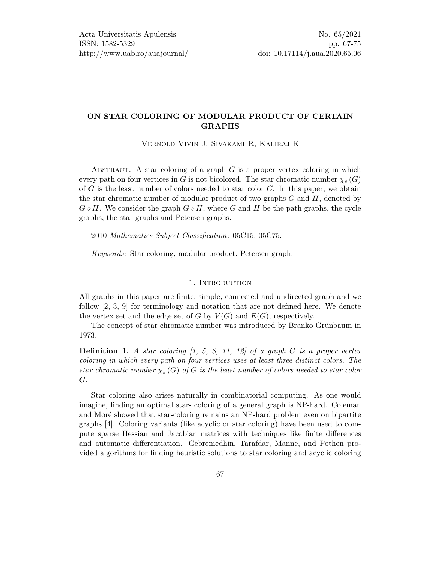# ON STAR COLORING OF MODULAR PRODUCT OF CERTAIN GRAPHS

Vernold Vivin J, Sivakami R, Kaliraj K

ABSTRACT. A star coloring of a graph  $G$  is a proper vertex coloring in which every path on four vertices in G is not bicolored. The star chromatic number  $\chi_s(G)$ of  $G$  is the least number of colors needed to star color  $G$ . In this paper, we obtain the star chromatic number of modular product of two graphs  $G$  and  $H$ , denoted by  $G \diamond H$ . We consider the graph  $G \diamond H$ , where G and H be the path graphs, the cycle graphs, the star graphs and Petersen graphs.

2010 Mathematics Subject Classification: 05C15, 05C75.

Keywords: Star coloring, modular product, Petersen graph.

#### 1. INTRODUCTION

All graphs in this paper are finite, simple, connected and undirected graph and we follow [\[2,](#page-7-0) [3,](#page-7-1) [9\]](#page-7-2) for terminology and notation that are not defined here. We denote the vertex set and the edge set of G by  $V(G)$  and  $E(G)$ , respectively.

The concept of star chromatic number was introduced by Branko Grünbaum in 1973.

**Definition 1.** A star coloring  $\begin{bmatrix} 1, 5, 8, 11, 12 \end{bmatrix}$  $\begin{bmatrix} 1, 5, 8, 11, 12 \end{bmatrix}$  $\begin{bmatrix} 1, 5, 8, 11, 12 \end{bmatrix}$  $\begin{bmatrix} 1, 5, 8, 11, 12 \end{bmatrix}$  $\begin{bmatrix} 1, 5, 8, 11, 12 \end{bmatrix}$  of a graph G is a proper vertex coloring in which every path on four vertices uses at least three distinct colors. The star chromatic number  $\chi_s(G)$  of G is the least number of colors needed to star color G.

Star coloring also arises naturally in combinatorial computing. As one would imagine, finding an optimal star- coloring of a general graph is NP-hard. Coleman and Moré showed that star-coloring remains an NP-hard problem even on bipartite graphs [\[4\]](#page-7-6). Coloring variants (like acyclic or star coloring) have been used to compute sparse Hessian and Jacobian matrices with techniques like finite differences and automatic differentiation. Gebremedhin, Tarafdar, Manne, and Pothen provided algorithms for finding heuristic solutions to star coloring and acyclic coloring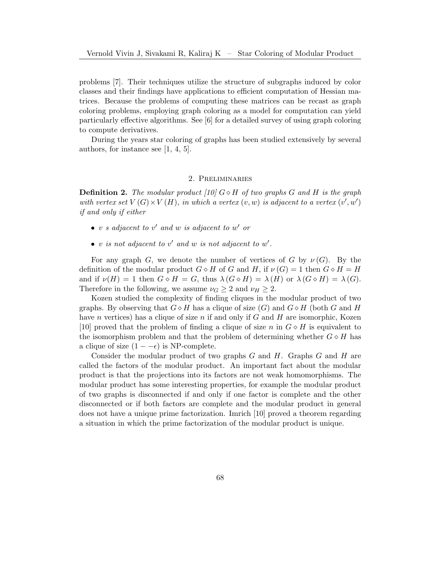problems [\[7\]](#page-7-7). Their techniques utilize the structure of subgraphs induced by color classes and their findings have applications to efficient computation of Hessian matrices. Because the problems of computing these matrices can be recast as graph coloring problems, employing graph coloring as a model for computation can yield particularly effective algorithms. See [\[6\]](#page-7-8) for a detailed survey of using graph coloring to compute derivatives.

During the years star coloring of graphs has been studied extensively by several authors, for instance see [\[1,](#page-7-3) [4,](#page-7-6) [5\]](#page-7-4).

#### 2. Preliminaries

**Definition 2.** The modular product [\[10\]](#page-8-3)  $G \diamond H$  of two graphs G and H is the graph with vertex set  $V(G) \times V(H)$ , in which a vertex  $(v, w)$  is adjacent to a vertex  $(v', w')$ if and only if either

- v s adjacent to v' and w is adjacent to w' or
- v is not adjacent to v' and w is not adjacent to w'.

For any graph G, we denote the number of vertices of G by  $\nu(G)$ . By the definition of the modular product  $G \diamond H$  of G and H, if  $\nu(G) = 1$  then  $G \diamond H = H$ and if  $\nu(H) = 1$  then  $G \diamond H = G$ , thus  $\lambda(G \diamond H) = \lambda(H)$  or  $\lambda(G \diamond H) = \lambda(G)$ . Therefore in the following, we assume  $\nu_G \geq 2$  and  $\nu_H \geq 2$ .

Kozen studied the complexity of finding cliques in the modular product of two graphs. By observing that  $G \diamond H$  has a clique of size  $(G)$  and  $G \diamond H$  (both G and H have n vertices) has a clique of size n if and only if  $G$  and  $H$  are isomorphic, Kozen [\[10\]](#page-8-3) proved that the problem of finding a clique of size n in  $G \diamond H$  is equivalent to the isomorphism problem and that the problem of determining whether  $G \diamond H$  has a clique of size  $(1 - \epsilon)$  is NP-complete.

Consider the modular product of two graphs  $G$  and  $H$ . Graphs  $G$  and  $H$  are called the factors of the modular product. An important fact about the modular product is that the projections into its factors are not weak homomorphisms. The modular product has some interesting properties, for example the modular product of two graphs is disconnected if and only if one factor is complete and the other disconnected or if both factors are complete and the modular product in general does not have a unique prime factorization. Imrich [\[10\]](#page-8-3) proved a theorem regarding a situation in which the prime factorization of the modular product is unique.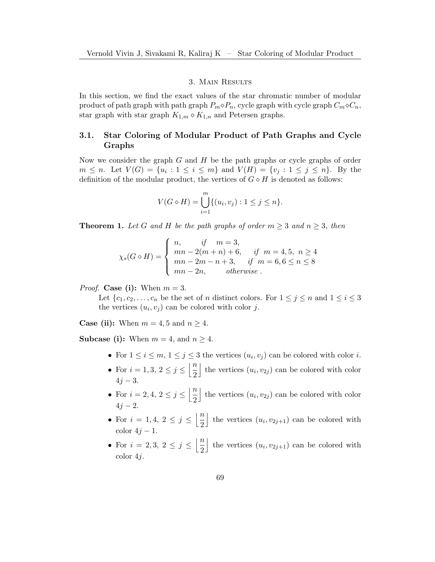# 3. Main Results

In this section, we find the exact values of the star chromatic number of modular product of path graph with path graph  $P_m \diamond P_n$ , cycle graph with cycle graph  $C_m \diamond C_n$ , star graph with star graph  $K_{1,m} \diamond K_{1,n}$  and Petersen graphs.

# 3.1. Star Coloring of Modular Product of Path Graphs and Cycle Graphs

Now we consider the graph  $G$  and  $H$  be the path graphs or cycle graphs of order  $m \leq n$ . Let  $V(G) = \{u_i : 1 \leq i \leq m\}$  and  $V(H) = \{v_j : 1 \leq j \leq n\}$ . By the definition of the modular product, the vertices of  $G \diamond H$  is denoted as follows:

$$
V(G \diamond H) = \bigcup_{i=1}^{m} \{(u_i, v_j) : 1 \le j \le n\}.
$$

**Theorem 1.** Let G and H be the path graphs of order  $m \geq 3$  and  $n \geq 3$ , then

$$
\chi_s(G \diamond H) = \begin{cases} n, & \text{if } m = 3, \\ mn - 2(m + n) + 6, & \text{if } m = 4, 5, n \ge 4 \\ mn - 2m - n + 3, & \text{if } m = 6, 6 \le n \le 8 \\ mn - 2n, & \text{otherwise.} \end{cases}
$$

*Proof.* Case (i): When  $m = 3$ .

Let  $\{c_1, c_2, \ldots, c_n \}$  be the set of *n* distinct colors. For  $1 \leq j \leq n$  and  $1 \leq i \leq 3$ the vertices  $(u_i, v_j)$  can be colored with color j.

**Case (ii):** When  $m = 4, 5$  and  $n \geq 4$ .

**Subcase (i):** When  $m = 4$ , and  $n \geq 4$ .

- For  $1 \leq i \leq m, 1 \leq j \leq 3$  the vertices  $(u_i, v_j)$  can be colored with color i.
- For  $i = 1, 3, 2 \le j \le \left\lfloor \frac{n}{2} \right\rfloor$ 2 the vertices  $(u_i, v_{2j})$  can be colored with color  $4j - 3$ .
- For  $i = 2, 4, 2 \le j \le \left\lfloor \frac{n}{2} \right\rfloor$ 2 the vertices  $(u_i, v_{2j})$  can be colored with color  $4j - 2$ .
- For  $i = 1, 4, 2 \le j \le \left\lfloor \frac{n}{2} \right\rfloor$ 2 the vertices  $(u_i, v_{2j+1})$  can be colored with color  $4j-1$ .
- For  $i = 2, 3, 2 \le j \le \left\lfloor \frac{n}{2} \right\rfloor$ 2 the vertices  $(u_i, v_{2j+1})$  can be colored with color 4j.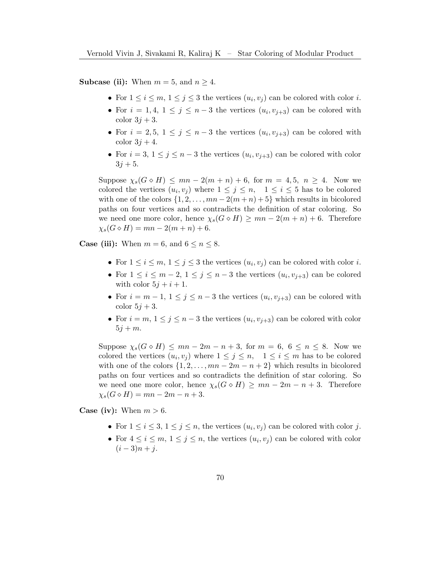**Subcase (ii):** When  $m = 5$ , and  $n \geq 4$ .

- For  $1 \leq i \leq m, 1 \leq j \leq 3$  the vertices  $(u_i, v_j)$  can be colored with color i.
- For  $i = 1, 4, 1 \leq j \leq n-3$  the vertices  $(u_i, v_{j+3})$  can be colored with color  $3j+3$ .
- For  $i = 2, 5, 1 \leq j \leq n-3$  the vertices  $(u_i, v_{j+3})$  can be colored with color  $3i + 4$ .
- For  $i = 3, 1 \leq j \leq n-3$  the vertices  $(u_i, v_{j+3})$  can be colored with color  $3j + 5$ .

Suppose  $\chi_s(G \diamond H) \le mn - 2(m + n) + 6$ , for  $m = 4, 5, n \ge 4$ . Now we colored the vertices  $(u_i, v_j)$  where  $1 \leq j \leq n$ ,  $1 \leq i \leq 5$  has to be colored with one of the colors  $\{1, 2, \ldots, mn - 2(m+n) + 5\}$  which results in bicolored paths on four vertices and so contradicts the definition of star coloring. So we need one more color, hence  $\chi_s(G \diamond H) \ge mn - 2(m + n) + 6$ . Therefore  $\chi_s(G \diamond H) = mn - 2(m + n) + 6.$ 

**Case (iii):** When  $m = 6$ , and  $6 \le n \le 8$ .

- For  $1 \leq i \leq m, 1 \leq j \leq 3$  the vertices  $(u_i, v_j)$  can be colored with color i.
- For  $1 \leq i \leq m-2, 1 \leq j \leq n-3$  the vertices  $(u_i, v_{j+3})$  can be colored with color  $5j + i + 1$ .
- For  $i = m 1$ ,  $1 \le j \le n 3$  the vertices  $(u_i, v_{j+3})$  can be colored with color  $5j + 3$ .
- For  $i = m, 1 \leq j \leq n-3$  the vertices  $(u_i, v_{j+3})$  can be colored with color  $5j + m$ .

Suppose  $\chi_s(G \diamond H) \le mn - 2m - n + 3$ , for  $m = 6, 6 \le n \le 8$ . Now we colored the vertices  $(u_i, v_j)$  where  $1 \leq j \leq n$ ,  $1 \leq i \leq m$  has to be colored with one of the colors  $\{1, 2, \ldots, mn - 2m - n + 2\}$  which results in bicolored paths on four vertices and so contradicts the definition of star coloring. So we need one more color, hence  $\chi_s(G \diamond H) \ge mn - 2m - n + 3$ . Therefore  $\chi_s(G \diamond H) = mn - 2m - n + 3.$ 

**Case (iv):** When  $m > 6$ .

- For  $1 \leq i \leq 3, 1 \leq j \leq n$ , the vertices  $(u_i, v_j)$  can be colored with color j.
- For  $4 \leq i \leq m, 1 \leq j \leq n$ , the vertices  $(u_i, v_j)$  can be colored with color  $(i - 3)n + i$ .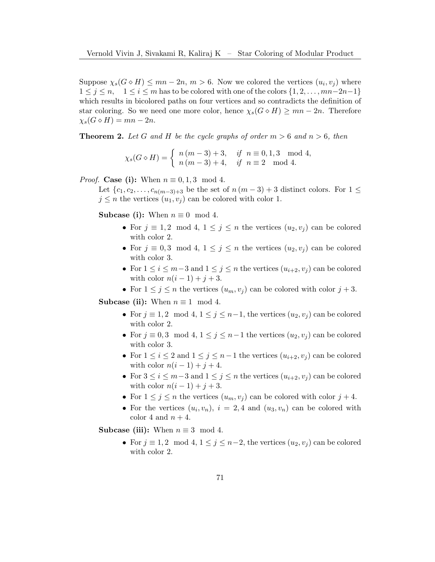Suppose  $\chi_s(G \diamond H) \le mn - 2n$ ,  $m > 6$ . Now we colored the vertices  $(u_i, v_j)$  where  $1 \leq j \leq n$ ,  $1 \leq i \leq m$  has to be colored with one of the colors  $\{1, 2, \ldots, mn-2n-1\}$ which results in bicolored paths on four vertices and so contradicts the definition of star coloring. So we need one more color, hence  $\chi_s(G \diamond H) \geq mn - 2n$ . Therefore  $\chi_s(G \diamond H) = mn - 2n$ .

**Theorem 2.** Let G and H be the cycle graphs of order  $m > 6$  and  $n > 6$ , then

 $\chi_s(G \diamond H) = \begin{cases} n(m-3) + 3, & \text{if } n \equiv 0, 1, 3 \mod 4, \\ n(m-3) + 4, & \text{if } n = 2 \mod 4. \end{cases}$  $n(m-3)+4$ , if  $n \equiv 2 \mod 4$ .

*Proof.* Case (i): When  $n \equiv 0, 1, 3 \mod 4$ .

Let  $\{c_1, c_2, \ldots, c_{n(m-3)+3} \text{ be the set of } n(m-3)+3 \text{ distinct colors. For } 1 \leq$  $j \leq n$  the vertices  $(u_1, v_i)$  can be colored with color 1.

**Subcase (i):** When  $n \equiv 0 \mod 4$ .

- For  $j \equiv 1, 2 \mod 4, 1 \leq j \leq n$  the vertices  $(u_2, v_j)$  can be colored with color 2.
- For  $j \equiv 0, 3 \mod 4, 1 \leq j \leq n$  the vertices  $(u_2, v_j)$  can be colored with color 3.
- For  $1 \leq i \leq m-3$  and  $1 \leq j \leq n$  the vertices  $(u_{i+2}, v_j)$  can be colored with color  $n(i-1) + j + 3$ .
- For  $1 \leq j \leq n$  the vertices  $(u_m, v_j)$  can be colored with color  $j + 3$ .

Subcase (ii): When  $n \equiv 1 \mod 4$ .

- For  $j \equiv 1, 2 \mod 4, 1 \leq j \leq n-1$ , the vertices  $(u_2, v_j)$  can be colored with color 2.
- For  $j \equiv 0, 3 \mod 4, 1 \leq j \leq n-1$  the vertices  $(u_2, v_j)$  can be colored with color 3.
- For  $1 \leq i \leq 2$  and  $1 \leq j \leq n-1$  the vertices  $(u_{i+2}, v_i)$  can be colored with color  $n(i-1) + j + 4$ .
- For  $3 \leq i \leq m-3$  and  $1 \leq j \leq n$  the vertices  $(u_{i+2}, v_j)$  can be colored with color  $n(i - 1) + j + 3$ .
- For  $1 \leq j \leq n$  the vertices  $(u_m, v_j)$  can be colored with color  $j + 4$ .
- For the vertices  $(u_i, v_n)$ ,  $i = 2, 4$  and  $(u_3, v_n)$  can be colored with color 4 and  $n + 4$ .

Subcase (iii): When  $n \equiv 3 \mod 4$ .

• For  $j \equiv 1, 2 \mod 4, 1 \leq j \leq n-2$ , the vertices  $(u_2, v_j)$  can be colored with color 2.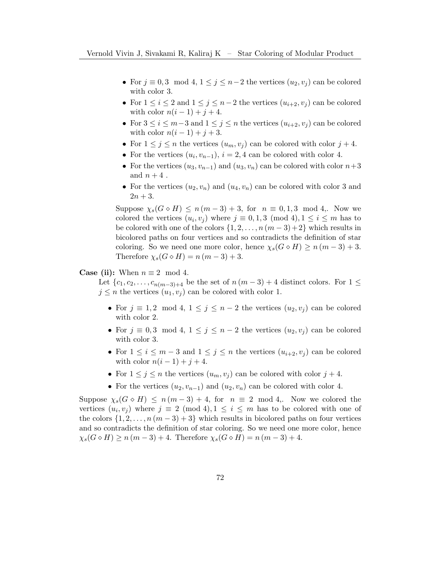- For  $j \equiv 0, 3 \mod 4, 1 \leq j \leq n-2$  the vertices  $(u_2, v_j)$  can be colored with color 3.
- For  $1 \leq i \leq 2$  and  $1 \leq j \leq n-2$  the vertices  $(u_{i+2}, v_i)$  can be colored with color  $n(i-1) + j + 4$ .
- For  $3 \leq i \leq m-3$  and  $1 \leq j \leq n$  the vertices  $(u_{i+2}, v_i)$  can be colored with color  $n(i-1) + j + 3$ .
- For  $1 \leq j \leq n$  the vertices  $(u_m, v_j)$  can be colored with color  $j + 4$ .
- For the vertices  $(u_i, v_{n-1}), i = 2, 4$  can be colored with color 4.
- For the vertices  $(u_3, v_{n-1})$  and  $(u_3, v_n)$  can be colored with color  $n+3$ and  $n+4$ .
- For the vertices  $(u_2, v_n)$  and  $(u_4, v_n)$  can be colored with color 3 and  $2n + 3$ .

Suppose  $\chi_s(G \diamond H) \leq n(m-3)+3$ , for  $n \equiv 0,1,3 \mod 4$ . Now we colored the vertices  $(u_i, v_j)$  where  $j \equiv 0, 1, 3 \pmod{4}, 1 \le i \le m$  has to be colored with one of the colors  $\{1, 2, \ldots, n (m-3)+2\}$  which results in bicolored paths on four vertices and so contradicts the definition of star coloring. So we need one more color, hence  $\chi_s(G \diamond H) \geq n(m-3)+3$ . Therefore  $\chi_s(G \diamond H) = n(m-3)+3$ .

### **Case (ii):** When  $n \equiv 2 \mod 4$ .

Let  $\{c_1, c_2, \ldots, c_{n(m-3)+4}\}$  be the set of  $n(m-3)+4$  distinct colors. For  $1 \leq$  $j \leq n$  the vertices  $(u_1, v_j)$  can be colored with color 1.

- For  $j \equiv 1, 2 \mod 4, 1 \leq j \leq n-2$  the vertices  $(u_2, v_j)$  can be colored with color 2.
- For  $j \equiv 0, 3 \mod 4, 1 \leq j \leq n-2$  the vertices  $(u_2, v_j)$  can be colored with color 3.
- For  $1 \leq i \leq m-3$  and  $1 \leq j \leq n$  the vertices  $(u_{i+2}, v_i)$  can be colored with color  $n(i-1) + j + 4$ .
- For  $1 \leq j \leq n$  the vertices  $(u_m, v_j)$  can be colored with color  $j + 4$ .
- For the vertices  $(u_2, v_{n-1})$  and  $(u_2, v_n)$  can be colored with color 4.

Suppose  $\chi_s(G \circ H) \leq n(m-3)+4$ , for  $n \equiv 2 \mod 4$ . Now we colored the vertices  $(u_i, v_j)$  where  $j \equiv 2 \pmod{4}$ ,  $1 \leq i \leq m$  has to be colored with one of the colors  $\{1, 2, \ldots, n \ (m-3) + 3\}$  which results in bicolored paths on four vertices and so contradicts the definition of star coloring. So we need one more color, hence  $\chi_s(G \diamond H) \ge n(m-3)+4$ . Therefore  $\chi_s(G \diamond H) = n(m-3)+4$ .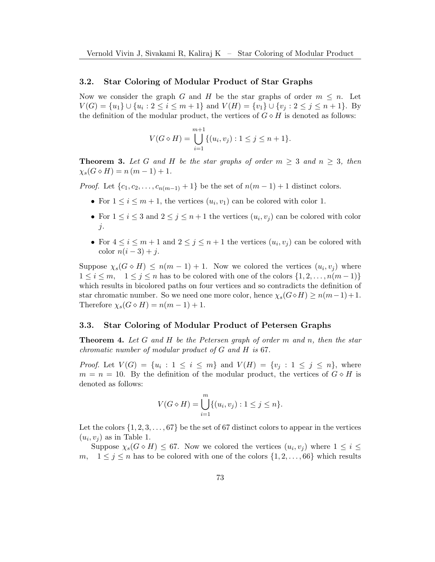# 3.2. Star Coloring of Modular Product of Star Graphs

Now we consider the graph G and H be the star graphs of order  $m \leq n$ . Let  $V(G) = \{u_1\} \cup \{u_i : 2 \le i \le m+1\}$  and  $V(H) = \{v_1\} \cup \{v_j : 2 \le j \le n+1\}$ . By the definition of the modular product, the vertices of  $G \diamond H$  is denoted as follows:

$$
V(G \diamond H) = \bigcup_{i=1}^{m+1} \{ (u_i, v_j) : 1 \le j \le n+1 \}.
$$

**Theorem 3.** Let G and H be the star graphs of order  $m \geq 3$  and  $n \geq 3$ , then  $\chi_s(G \diamond H) = n (m - 1) + 1.$ 

*Proof.* Let  $\{c_1, c_2, \ldots, c_{n(m-1)} + 1\}$  be the set of  $n(m-1) + 1$  distinct colors.

- For  $1 \leq i \leq m+1$ , the vertices  $(u_i, v_1)$  can be colored with color 1.
- For  $1 \leq i \leq 3$  and  $2 \leq j \leq n+1$  the vertices  $(u_i, v_j)$  can be colored with color j.
- For  $4 \leq i \leq m+1$  and  $2 \leq j \leq n+1$  the vertices  $(u_i, v_j)$  can be colored with color  $n(i-3)+j$ .

Suppose  $\chi_s(G \diamond H) \leq n(m-1) + 1$ . Now we colored the vertices  $(u_i, v_j)$  where  $1 \leq i \leq m$ ,  $1 \leq j \leq n$  has to be colored with one of the colors  $\{1, 2, \ldots, n(m-1)\}$ which results in bicolored paths on four vertices and so contradicts the definition of star chromatic number. So we need one more color, hence  $\chi_s(G \diamond H) \geq n(m-1)+1$ . Therefore  $\chi_s(G \diamond H) = n(m-1) + 1$ .

# 3.3. Star Coloring of Modular Product of Petersen Graphs

**Theorem 4.** Let G and H be the Petersen graph of order m and n, then the star chromatic number of modular product of G and H is 67.

*Proof.* Let  $V(G) = \{u_i : 1 \le i \le m\}$  and  $V(H) = \{v_j : 1 \le j \le n\}$ , where  $m = n = 10$ . By the definition of the modular product, the vertices of  $G \diamond H$  is denoted as follows:

$$
V(G \diamond H) = \bigcup_{i=1}^{m} \{ (u_i, v_j) : 1 \le j \le n \}.
$$

Let the colors  $\{1, 2, 3, \ldots, 67\}$  be the set of 67 distinct colors to appear in the vertices  $(u_i, v_j)$  as in Table [1.](#page-7-9)

Suppose  $\chi_s(G \diamond H) \leq 67$ . Now we colored the vertices  $(u_i, v_j)$  where  $1 \leq i \leq 4$ m,  $1 \leq j \leq n$  has to be colored with one of the colors  $\{1, 2, \ldots, 66\}$  which results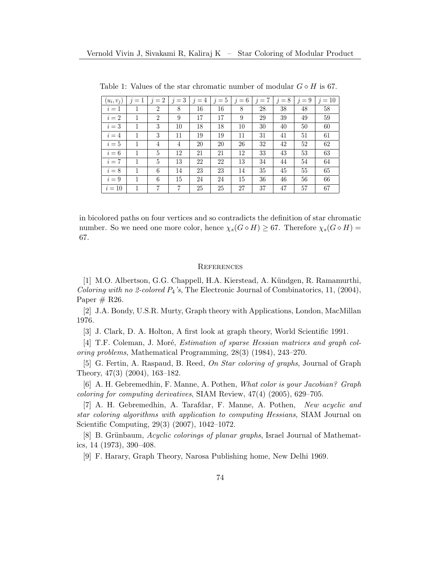| $(u_i, v_j)$ | $j=1$ | $j=2$          | $j=3$ | $j=4$ | $j=5$ | $j=6$ | $j=7$ | $j=8$ | $j=9$ | $j=10$ |
|--------------|-------|----------------|-------|-------|-------|-------|-------|-------|-------|--------|
| $i=1$        |       | $\overline{2}$ | 8     | 16    | 16    | 8     | 28    | 38    | 48    | 58     |
| $i=2$        | 1     | $\overline{2}$ | 9     | 17    | 17    | 9     | 29    | 39    | 49    | 59     |
| $i=3$        |       | 3              | 10    | 18    | 18    | 10    | 30    | 40    | 50    | 60     |
| $i=4$        | 1     | 3              | 11    | 19    | 19    | 11    | 31    | 41    | 51    | 61     |
| $i=5$        | 1     | 4              | 4     | 20    | 20    | 26    | 32    | 42    | 52    | 62     |
| $i=6$        |       | 5              | 12    | 21    | 21    | 12    | 33    | 43    | 53    | 63     |
| $i=7$        | 1     | 5              | 13    | 22    | 22    | 13    | 34    | 44    | 54    | 64     |
| $i=8$        |       | 6              | 14    | 23    | 23    | 14    | 35    | 45    | 55    | 65     |
| $i=9$        | 1     | 6              | 15    | 24    | 24    | 15    | 36    | 46    | 56    | 66     |
| $i=10$       |       |                | 7     | 25    | 25    | 27    | 37    | 47    | 57    | 67     |

<span id="page-7-9"></span>Table 1: Values of the star chromatic number of modular  $G \diamond H$  is 67.

in bicolored paths on four vertices and so contradicts the definition of star chromatic number. So we need one more color, hence  $\chi_s(G \diamond H) \geq 67$ . Therefore  $\chi_s(G \diamond H)$  = 67.

### **REFERENCES**

<span id="page-7-3"></span>[1] M.O. Albertson, G.G. Chappell, H.A. Kierstead, A. Kündgen, R. Ramamurthi, Coloring with no 2-colored  $P_4$ 's, The Electronic Journal of Combinatorics, 11, (2004), Paper  $# R26$ .

<span id="page-7-0"></span>[2] J.A. Bondy, U.S.R. Murty, Graph theory with Applications, London, MacMillan 1976.

<span id="page-7-1"></span>[3] J. Clark, D. A. Holton, A first look at graph theory, World Scientific 1991.

<span id="page-7-6"></span>[4] T.F. Coleman, J. Moré, *Estimation of sparse Hessian matrices and graph col*oring problems, Mathematical Programming, 28(3) (1984), 243–270.

<span id="page-7-4"></span>[5] G. Fertin, A. Raspaud, B. Reed, On Star coloring of graphs, Journal of Graph Theory, 47(3) (2004), 163–182.

<span id="page-7-8"></span>[6] A. H. Gebremedhin, F. Manne, A. Pothen, What color is your Jacobian? Graph coloring for computing derivatives, SIAM Review, 47(4) (2005), 629–705.

<span id="page-7-7"></span>[7] A. H. Gebremedhin, A. Tarafdar, F. Manne, A. Pothen, New acyclic and star coloring algorithms with application to computing Hessians, SIAM Journal on Scientific Computing, 29(3) (2007), 1042–1072.

<span id="page-7-5"></span>[8] B. Grünbaum, Acyclic colorings of planar graphs, Israel Journal of Mathematics, 14 (1973), 390–408.

<span id="page-7-2"></span>[9] F. Harary, Graph Theory, Narosa Publishing home, New Delhi 1969.